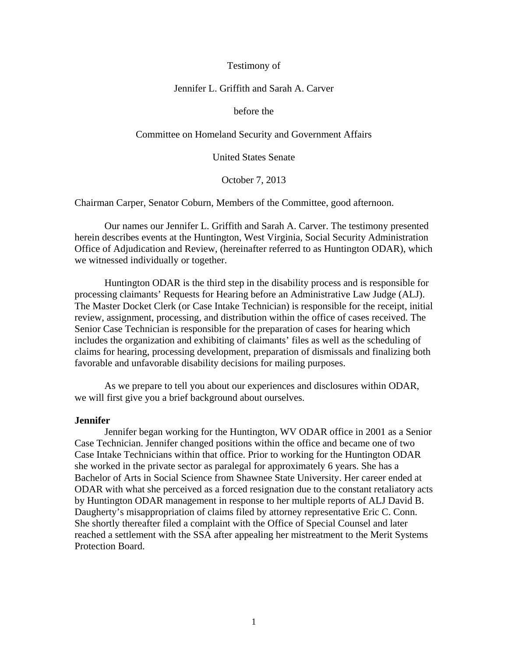## Testimony of

# Jennifer L. Griffith and Sarah A. Carver

## before the

## Committee on Homeland Security and Government Affairs

United States Senate

October 7, 2013

Chairman Carper, Senator Coburn, Members of the Committee, good afternoon.

Our names our Jennifer L. Griffith and Sarah A. Carver. The testimony presented herein describes events at the Huntington, West Virginia, Social Security Administration Office of Adjudication and Review, (hereinafter referred to as Huntington ODAR), which we witnessed individually or together.

Huntington ODAR is the third step in the disability process and is responsible for processing claimants' Requests for Hearing before an Administrative Law Judge (ALJ). The Master Docket Clerk (or Case Intake Technician) is responsible for the receipt, initial review, assignment, processing, and distribution within the office of cases received. The Senior Case Technician is responsible for the preparation of cases for hearing which includes the organization and exhibiting of claimants' files as well as the scheduling of claims for hearing, processing development, preparation of dismissals and finalizing both favorable and unfavorable disability decisions for mailing purposes.

As we prepare to tell you about our experiences and disclosures within ODAR, we will first give you a brief background about ourselves.

### **Jennifer**

Jennifer began working for the Huntington, WV ODAR office in 2001 as a Senior Case Technician. Jennifer changed positions within the office and became one of two Case Intake Technicians within that office. Prior to working for the Huntington ODAR she worked in the private sector as paralegal for approximately 6 years. She has a Bachelor of Arts in Social Science from Shawnee State University. Her career ended at ODAR with what she perceived as a forced resignation due to the constant retaliatory acts by Huntington ODAR management in response to her multiple reports of ALJ David B. Daugherty's misappropriation of claims filed by attorney representative Eric C. Conn. She shortly thereafter filed a complaint with the Office of Special Counsel and later reached a settlement with the SSA after appealing her mistreatment to the Merit Systems Protection Board.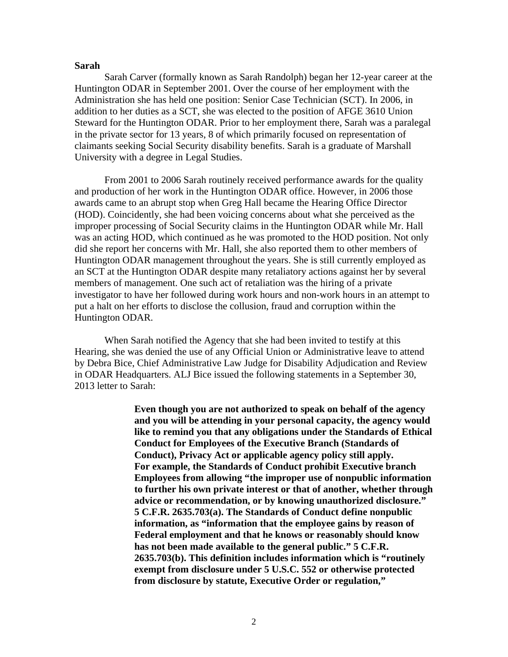## **Sarah**

Sarah Carver (formally known as Sarah Randolph) began her 12-year career at the Huntington ODAR in September 2001. Over the course of her employment with the Administration she has held one position: Senior Case Technician (SCT). In 2006, in addition to her duties as a SCT, she was elected to the position of AFGE 3610 Union Steward for the Huntington ODAR. Prior to her employment there, Sarah was a paralegal in the private sector for 13 years, 8 of which primarily focused on representation of claimants seeking Social Security disability benefits. Sarah is a graduate of Marshall University with a degree in Legal Studies.

From 2001 to 2006 Sarah routinely received performance awards for the quality and production of her work in the Huntington ODAR office. However, in 2006 those awards came to an abrupt stop when Greg Hall became the Hearing Office Director (HOD). Coincidently, she had been voicing concerns about what she perceived as the improper processing of Social Security claims in the Huntington ODAR while Mr. Hall was an acting HOD, which continued as he was promoted to the HOD position. Not only did she report her concerns with Mr. Hall, she also reported them to other members of Huntington ODAR management throughout the years. She is still currently employed as an SCT at the Huntington ODAR despite many retaliatory actions against her by several members of management. One such act of retaliation was the hiring of a private investigator to have her followed during work hours and non-work hours in an attempt to put a halt on her efforts to disclose the collusion, fraud and corruption within the Huntington ODAR.

When Sarah notified the Agency that she had been invited to testify at this Hearing, she was denied the use of any Official Union or Administrative leave to attend by Debra Bice, Chief Administrative Law Judge for Disability Adjudication and Review in ODAR Headquarters. ALJ Bice issued the following statements in a September 30, 2013 letter to Sarah:

> **Even though you are not authorized to speak on behalf of the agency and you will be attending in your personal capacity, the agency would like to remind you that any obligations under the Standards of Ethical Conduct for Employees of the Executive Branch (Standards of Conduct), Privacy Act or applicable agency policy still apply. For example, the Standards of Conduct prohibit Executive branch Employees from allowing "the improper use of nonpublic information to further his own private interest or that of another, whether through advice or recommendation, or by knowing unauthorized disclosure." 5 C.F.R. 2635.703(a). The Standards of Conduct define nonpublic information, as "information that the employee gains by reason of Federal employment and that he knows or reasonably should know has not been made available to the general public." 5 C.F.R. 2635.703(b). This definition includes information which is "routinely exempt from disclosure under 5 U.S.C. 552 or otherwise protected from disclosure by statute, Executive Order or regulation,"**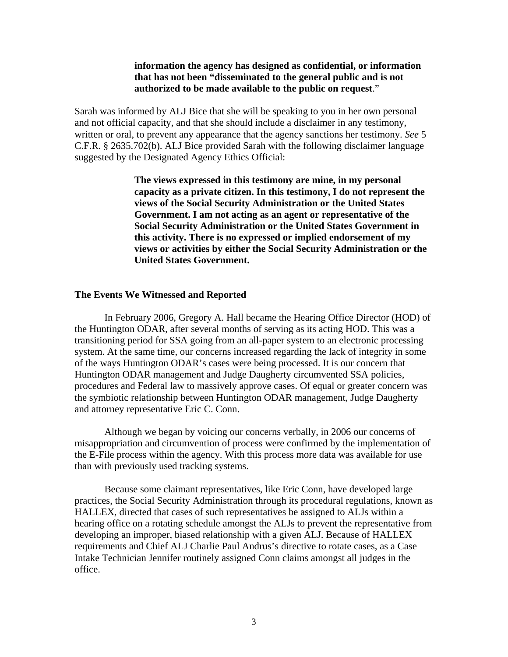## **information the agency has designed as confidential, or information that has not been "disseminated to the general public and is not authorized to be made available to the public on request**."

Sarah was informed by ALJ Bice that she will be speaking to you in her own personal and not official capacity, and that she should include a disclaimer in any testimony, written or oral, to prevent any appearance that the agency sanctions her testimony. *See* 5 C.F.R. § 2635.702(b). ALJ Bice provided Sarah with the following disclaimer language suggested by the Designated Agency Ethics Official:

> **The views expressed in this testimony are mine, in my personal capacity as a private citizen. In this testimony, I do not represent the views of the Social Security Administration or the United States Government. I am not acting as an agent or representative of the Social Security Administration or the United States Government in this activity. There is no expressed or implied endorsement of my views or activities by either the Social Security Administration or the United States Government.**

### **The Events We Witnessed and Reported**

In February 2006, Gregory A. Hall became the Hearing Office Director (HOD) of the Huntington ODAR, after several months of serving as its acting HOD. This was a transitioning period for SSA going from an all-paper system to an electronic processing system. At the same time, our concerns increased regarding the lack of integrity in some of the ways Huntington ODAR's cases were being processed. It is our concern that Huntington ODAR management and Judge Daugherty circumvented SSA policies, procedures and Federal law to massively approve cases. Of equal or greater concern was the symbiotic relationship between Huntington ODAR management, Judge Daugherty and attorney representative Eric C. Conn.

Although we began by voicing our concerns verbally, in 2006 our concerns of misappropriation and circumvention of process were confirmed by the implementation of the E-File process within the agency. With this process more data was available for use than with previously used tracking systems.

Because some claimant representatives, like Eric Conn, have developed large practices, the Social Security Administration through its procedural regulations, known as HALLEX, directed that cases of such representatives be assigned to ALJs within a hearing office on a rotating schedule amongst the ALJs to prevent the representative from developing an improper, biased relationship with a given ALJ. Because of HALLEX requirements and Chief ALJ Charlie Paul Andrus's directive to rotate cases, as a Case Intake Technician Jennifer routinely assigned Conn claims amongst all judges in the office.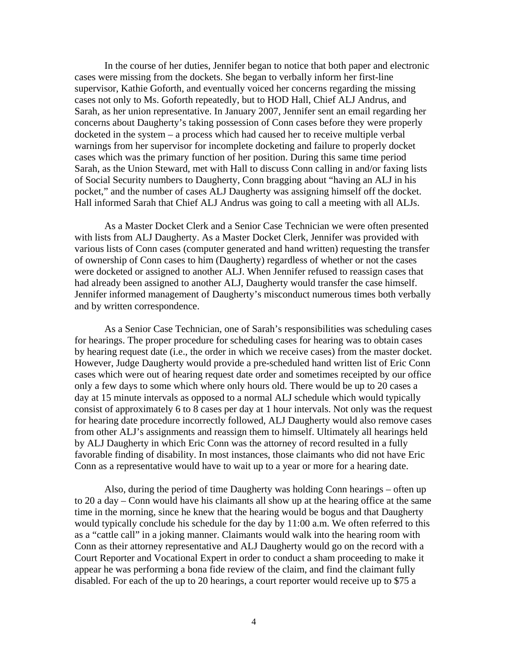In the course of her duties, Jennifer began to notice that both paper and electronic cases were missing from the dockets. She began to verbally inform her first-line supervisor, Kathie Goforth, and eventually voiced her concerns regarding the missing cases not only to Ms. Goforth repeatedly, but to HOD Hall, Chief ALJ Andrus, and Sarah, as her union representative. In January 2007, Jennifer sent an email regarding her concerns about Daugherty's taking possession of Conn cases before they were properly docketed in the system – a process which had caused her to receive multiple verbal warnings from her supervisor for incomplete docketing and failure to properly docket cases which was the primary function of her position. During this same time period Sarah, as the Union Steward, met with Hall to discuss Conn calling in and/or faxing lists of Social Security numbers to Daugherty, Conn bragging about "having an ALJ in his pocket," and the number of cases ALJ Daugherty was assigning himself off the docket. Hall informed Sarah that Chief ALJ Andrus was going to call a meeting with all ALJs.

As a Master Docket Clerk and a Senior Case Technician we were often presented with lists from ALJ Daugherty. As a Master Docket Clerk, Jennifer was provided with various lists of Conn cases (computer generated and hand written) requesting the transfer of ownership of Conn cases to him (Daugherty) regardless of whether or not the cases were docketed or assigned to another ALJ. When Jennifer refused to reassign cases that had already been assigned to another ALJ, Daugherty would transfer the case himself. Jennifer informed management of Daugherty's misconduct numerous times both verbally and by written correspondence.

As a Senior Case Technician, one of Sarah's responsibilities was scheduling cases for hearings. The proper procedure for scheduling cases for hearing was to obtain cases by hearing request date (i.e., the order in which we receive cases) from the master docket. However, Judge Daugherty would provide a pre-scheduled hand written list of Eric Conn cases which were out of hearing request date order and sometimes receipted by our office only a few days to some which where only hours old. There would be up to 20 cases a day at 15 minute intervals as opposed to a normal ALJ schedule which would typically consist of approximately 6 to 8 cases per day at 1 hour intervals. Not only was the request for hearing date procedure incorrectly followed, ALJ Daugherty would also remove cases from other ALJ's assignments and reassign them to himself. Ultimately all hearings held by ALJ Daugherty in which Eric Conn was the attorney of record resulted in a fully favorable finding of disability. In most instances, those claimants who did not have Eric Conn as a representative would have to wait up to a year or more for a hearing date.

Also, during the period of time Daugherty was holding Conn hearings – often up to 20 a day – Conn would have his claimants all show up at the hearing office at the same time in the morning, since he knew that the hearing would be bogus and that Daugherty would typically conclude his schedule for the day by 11:00 a.m. We often referred to this as a "cattle call" in a joking manner. Claimants would walk into the hearing room with Conn as their attorney representative and ALJ Daugherty would go on the record with a Court Reporter and Vocational Expert in order to conduct a sham proceeding to make it appear he was performing a bona fide review of the claim, and find the claimant fully disabled. For each of the up to 20 hearings, a court reporter would receive up to \$75 a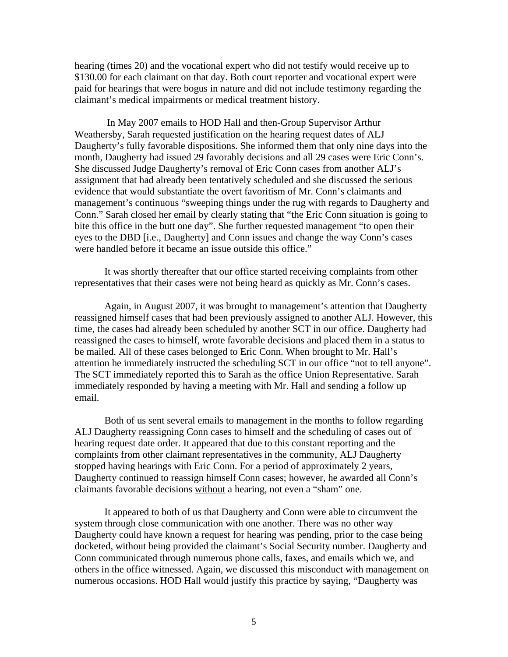hearing (times 20) and the vocational expert who did not testify would receive up to \$130.00 for each claimant on that day. Both court reporter and vocational expert were paid for hearings that were bogus in nature and did not include testimony regarding the claimant's medical impairments or medical treatment history.

In May 2007 emails to HOD Hall and then-Group Supervisor Arthur Weathersby, Sarah requested justification on the hearing request dates of ALJ Daugherty's fully favorable dispositions. She informed them that only nine days into the month, Daugherty had issued 29 favorably decisions and all 29 cases were Eric Conn's. She discussed Judge Daugherty's removal of Eric Conn cases from another ALJ's assignment that had already been tentatively scheduled and she discussed the serious evidence that would substantiate the overt favoritism of Mr. Conn's claimants and management's continuous "sweeping things under the rug with regards to Daugherty and Conn." Sarah closed her email by clearly stating that "the Eric Conn situation is going to bite this office in the butt one day". She further requested management "to open their eyes to the DBD [i.e., Daugherty] and Conn issues and change the way Conn's cases were handled before it became an issue outside this office."

It was shortly thereafter that our office started receiving complaints from other representatives that their cases were not being heard as quickly as Mr. Conn's cases.

Again, in August 2007, it was brought to management's attention that Daugherty reassigned himself cases that had been previously assigned to another ALJ. However, this time, the cases had already been scheduled by another SCT in our office. Daugherty had reassigned the cases to himself, wrote favorable decisions and placed them in a status to be mailed. All of these cases belonged to Eric Conn. When brought to Mr. Hall's attention he immediately instructed the scheduling SCT in our office "not to tell anyone". The SCT immediately reported this to Sarah as the office Union Representative. Sarah immediately responded by having a meeting with Mr. Hall and sending a follow up email.

Both of us sent several emails to management in the months to follow regarding ALJ Daugherty reassigning Conn cases to himself and the scheduling of cases out of hearing request date order. It appeared that due to this constant reporting and the complaints from other claimant representatives in the community, ALJ Daugherty stopped having hearings with Eric Conn. For a period of approximately 2 years, Daugherty continued to reassign himself Conn cases; however, he awarded all Conn's claimants favorable decisions without a hearing, not even a "sham" one.

It appeared to both of us that Daugherty and Conn were able to circumvent the system through close communication with one another. There was no other way Daugherty could have known a request for hearing was pending, prior to the case being docketed, without being provided the claimant's Social Security number. Daugherty and Conn communicated through numerous phone calls, faxes, and emails which we, and others in the office witnessed. Again, we discussed this misconduct with management on numerous occasions. HOD Hall would justify this practice by saying, "Daugherty was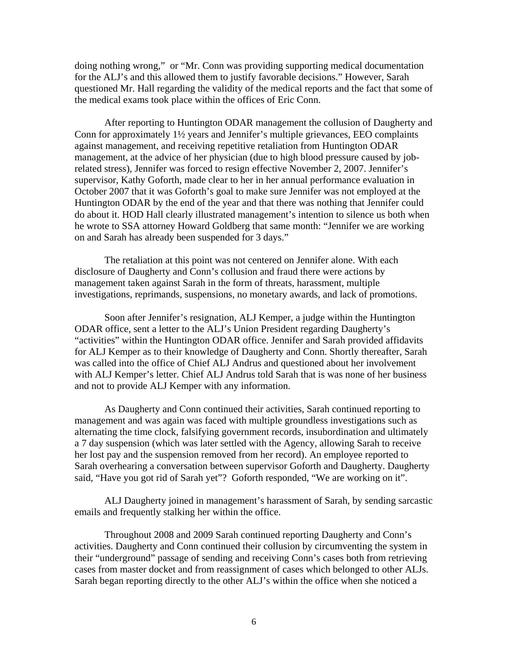doing nothing wrong," or "Mr. Conn was providing supporting medical documentation for the ALJ's and this allowed them to justify favorable decisions." However, Sarah questioned Mr. Hall regarding the validity of the medical reports and the fact that some of the medical exams took place within the offices of Eric Conn.

After reporting to Huntington ODAR management the collusion of Daugherty and Conn for approximately 1½ years and Jennifer's multiple grievances, EEO complaints against management, and receiving repetitive retaliation from Huntington ODAR management, at the advice of her physician (due to high blood pressure caused by jobrelated stress), Jennifer was forced to resign effective November 2, 2007. Jennifer's supervisor, Kathy Goforth, made clear to her in her annual performance evaluation in October 2007 that it was Goforth's goal to make sure Jennifer was not employed at the Huntington ODAR by the end of the year and that there was nothing that Jennifer could do about it. HOD Hall clearly illustrated management's intention to silence us both when he wrote to SSA attorney Howard Goldberg that same month: "Jennifer we are working on and Sarah has already been suspended for 3 days."

The retaliation at this point was not centered on Jennifer alone. With each disclosure of Daugherty and Conn's collusion and fraud there were actions by management taken against Sarah in the form of threats, harassment, multiple investigations, reprimands, suspensions, no monetary awards, and lack of promotions.

Soon after Jennifer's resignation, ALJ Kemper, a judge within the Huntington ODAR office, sent a letter to the ALJ's Union President regarding Daugherty's "activities" within the Huntington ODAR office. Jennifer and Sarah provided affidavits for ALJ Kemper as to their knowledge of Daugherty and Conn. Shortly thereafter, Sarah was called into the office of Chief ALJ Andrus and questioned about her involvement with ALJ Kemper's letter. Chief ALJ Andrus told Sarah that is was none of her business and not to provide ALJ Kemper with any information.

As Daugherty and Conn continued their activities, Sarah continued reporting to management and was again was faced with multiple groundless investigations such as alternating the time clock, falsifying government records, insubordination and ultimately a 7 day suspension (which was later settled with the Agency, allowing Sarah to receive her lost pay and the suspension removed from her record). An employee reported to Sarah overhearing a conversation between supervisor Goforth and Daugherty. Daugherty said, "Have you got rid of Sarah yet"? Goforth responded, "We are working on it".

ALJ Daugherty joined in management's harassment of Sarah, by sending sarcastic emails and frequently stalking her within the office.

Throughout 2008 and 2009 Sarah continued reporting Daugherty and Conn's activities. Daugherty and Conn continued their collusion by circumventing the system in their "underground" passage of sending and receiving Conn's cases both from retrieving cases from master docket and from reassignment of cases which belonged to other ALJs. Sarah began reporting directly to the other ALJ's within the office when she noticed a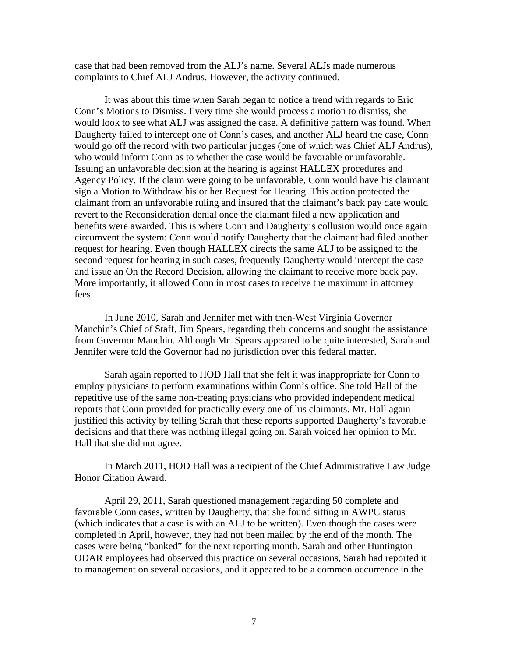case that had been removed from the ALJ's name. Several ALJs made numerous complaints to Chief ALJ Andrus. However, the activity continued.

It was about this time when Sarah began to notice a trend with regards to Eric Conn's Motions to Dismiss. Every time she would process a motion to dismiss, she would look to see what ALJ was assigned the case. A definitive pattern was found. When Daugherty failed to intercept one of Conn's cases, and another ALJ heard the case, Conn would go off the record with two particular judges (one of which was Chief ALJ Andrus), who would inform Conn as to whether the case would be favorable or unfavorable. Issuing an unfavorable decision at the hearing is against HALLEX procedures and Agency Policy. If the claim were going to be unfavorable, Conn would have his claimant sign a Motion to Withdraw his or her Request for Hearing. This action protected the claimant from an unfavorable ruling and insured that the claimant's back pay date would revert to the Reconsideration denial once the claimant filed a new application and benefits were awarded. This is where Conn and Daugherty's collusion would once again circumvent the system: Conn would notify Daugherty that the claimant had filed another request for hearing. Even though HALLEX directs the same ALJ to be assigned to the second request for hearing in such cases, frequently Daugherty would intercept the case and issue an On the Record Decision, allowing the claimant to receive more back pay. More importantly, it allowed Conn in most cases to receive the maximum in attorney fees.

In June 2010, Sarah and Jennifer met with then-West Virginia Governor Manchin's Chief of Staff, Jim Spears, regarding their concerns and sought the assistance from Governor Manchin. Although Mr. Spears appeared to be quite interested, Sarah and Jennifer were told the Governor had no jurisdiction over this federal matter.

Sarah again reported to HOD Hall that she felt it was inappropriate for Conn to employ physicians to perform examinations within Conn's office. She told Hall of the repetitive use of the same non-treating physicians who provided independent medical reports that Conn provided for practically every one of his claimants. Mr. Hall again justified this activity by telling Sarah that these reports supported Daugherty's favorable decisions and that there was nothing illegal going on. Sarah voiced her opinion to Mr. Hall that she did not agree.

In March 2011, HOD Hall was a recipient of the Chief Administrative Law Judge Honor Citation Award.

April 29, 2011, Sarah questioned management regarding 50 complete and favorable Conn cases, written by Daugherty, that she found sitting in AWPC status (which indicates that a case is with an ALJ to be written). Even though the cases were completed in April, however, they had not been mailed by the end of the month. The cases were being "banked" for the next reporting month. Sarah and other Huntington ODAR employees had observed this practice on several occasions, Sarah had reported it to management on several occasions, and it appeared to be a common occurrence in the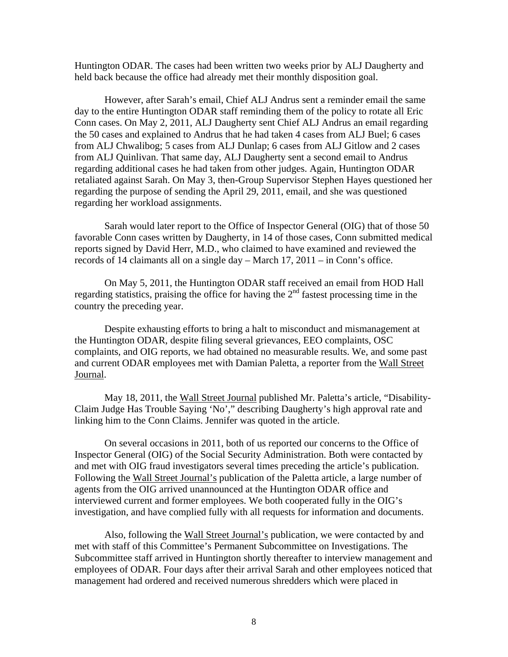Huntington ODAR. The cases had been written two weeks prior by ALJ Daugherty and held back because the office had already met their monthly disposition goal.

However, after Sarah's email, Chief ALJ Andrus sent a reminder email the same day to the entire Huntington ODAR staff reminding them of the policy to rotate all Eric Conn cases. On May 2, 2011, ALJ Daugherty sent Chief ALJ Andrus an email regarding the 50 cases and explained to Andrus that he had taken 4 cases from ALJ Buel; 6 cases from ALJ Chwalibog; 5 cases from ALJ Dunlap; 6 cases from ALJ Gitlow and 2 cases from ALJ Quinlivan. That same day, ALJ Daugherty sent a second email to Andrus regarding additional cases he had taken from other judges. Again, Huntington ODAR retaliated against Sarah. On May 3, then-Group Supervisor Stephen Hayes questioned her regarding the purpose of sending the April 29, 2011, email, and she was questioned regarding her workload assignments.

Sarah would later report to the Office of Inspector General (OIG) that of those 50 favorable Conn cases written by Daugherty, in 14 of those cases, Conn submitted medical reports signed by David Herr, M.D., who claimed to have examined and reviewed the records of 14 claimants all on a single day – March 17, 2011 – in Conn's office.

On May 5, 2011, the Huntington ODAR staff received an email from HOD Hall regarding statistics, praising the office for having the  $2<sup>nd</sup>$  fastest processing time in the country the preceding year.

Despite exhausting efforts to bring a halt to misconduct and mismanagement at the Huntington ODAR, despite filing several grievances, EEO complaints, OSC complaints, and OIG reports, we had obtained no measurable results. We, and some past and current ODAR employees met with Damian Paletta, a reporter from the Wall Street Journal.

May 18, 2011, the Wall Street Journal published Mr. Paletta's article, "Disability-Claim Judge Has Trouble Saying 'No'," describing Daugherty's high approval rate and linking him to the Conn Claims. Jennifer was quoted in the article.

On several occasions in 2011, both of us reported our concerns to the Office of Inspector General (OIG) of the Social Security Administration. Both were contacted by and met with OIG fraud investigators several times preceding the article's publication. Following the Wall Street Journal's publication of the Paletta article, a large number of agents from the OIG arrived unannounced at the Huntington ODAR office and interviewed current and former employees. We both cooperated fully in the OIG's investigation, and have complied fully with all requests for information and documents.

Also, following the Wall Street Journal's publication, we were contacted by and met with staff of this Committee's Permanent Subcommittee on Investigations. The Subcommittee staff arrived in Huntington shortly thereafter to interview management and employees of ODAR. Four days after their arrival Sarah and other employees noticed that management had ordered and received numerous shredders which were placed in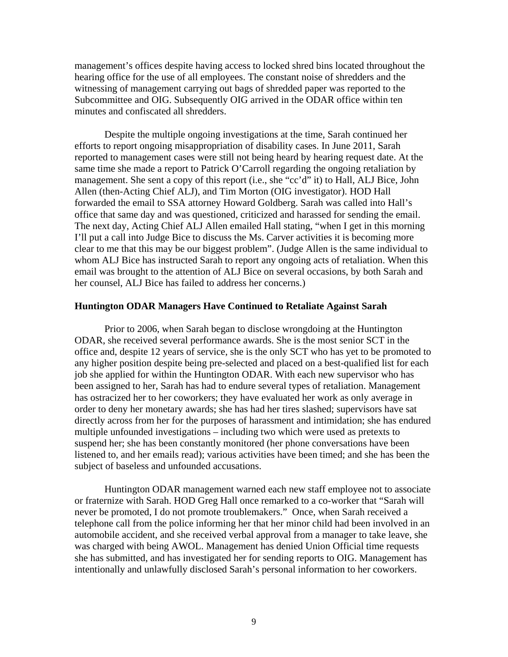management's offices despite having access to locked shred bins located throughout the hearing office for the use of all employees. The constant noise of shredders and the witnessing of management carrying out bags of shredded paper was reported to the Subcommittee and OIG. Subsequently OIG arrived in the ODAR office within ten minutes and confiscated all shredders.

Despite the multiple ongoing investigations at the time, Sarah continued her efforts to report ongoing misappropriation of disability cases. In June 2011, Sarah reported to management cases were still not being heard by hearing request date. At the same time she made a report to Patrick O'Carroll regarding the ongoing retaliation by management. She sent a copy of this report (i.e., she "cc'd" it) to Hall, ALJ Bice, John Allen (then-Acting Chief ALJ), and Tim Morton (OIG investigator). HOD Hall forwarded the email to SSA attorney Howard Goldberg. Sarah was called into Hall's office that same day and was questioned, criticized and harassed for sending the email. The next day, Acting Chief ALJ Allen emailed Hall stating, "when I get in this morning I'll put a call into Judge Bice to discuss the Ms. Carver activities it is becoming more clear to me that this may be our biggest problem". (Judge Allen is the same individual to whom ALJ Bice has instructed Sarah to report any ongoing acts of retaliation. When this email was brought to the attention of ALJ Bice on several occasions, by both Sarah and her counsel, ALJ Bice has failed to address her concerns.)

## **Huntington ODAR Managers Have Continued to Retaliate Against Sarah**

Prior to 2006, when Sarah began to disclose wrongdoing at the Huntington ODAR, she received several performance awards. She is the most senior SCT in the office and, despite 12 years of service, she is the only SCT who has yet to be promoted to any higher position despite being pre-selected and placed on a best-qualified list for each job she applied for within the Huntington ODAR. With each new supervisor who has been assigned to her, Sarah has had to endure several types of retaliation. Management has ostracized her to her coworkers; they have evaluated her work as only average in order to deny her monetary awards; she has had her tires slashed; supervisors have sat directly across from her for the purposes of harassment and intimidation; she has endured multiple unfounded investigations – including two which were used as pretexts to suspend her; she has been constantly monitored (her phone conversations have been listened to, and her emails read); various activities have been timed; and she has been the subject of baseless and unfounded accusations.

Huntington ODAR management warned each new staff employee not to associate or fraternize with Sarah. HOD Greg Hall once remarked to a co-worker that "Sarah will never be promoted, I do not promote troublemakers." Once, when Sarah received a telephone call from the police informing her that her minor child had been involved in an automobile accident, and she received verbal approval from a manager to take leave, she was charged with being AWOL. Management has denied Union Official time requests she has submitted, and has investigated her for sending reports to OIG. Management has intentionally and unlawfully disclosed Sarah's personal information to her coworkers.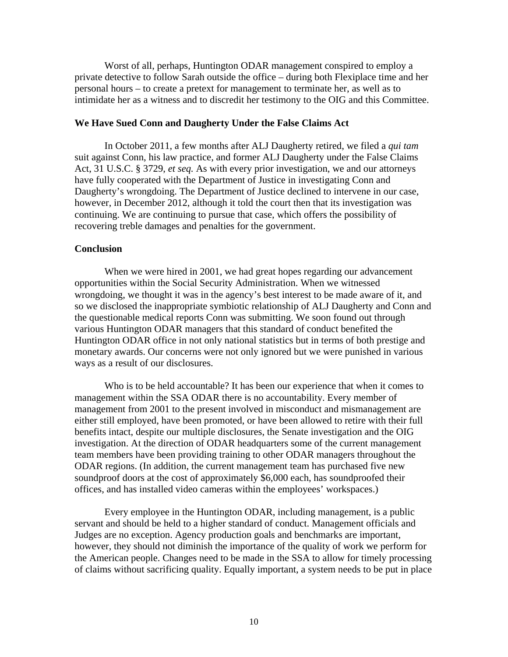Worst of all, perhaps, Huntington ODAR management conspired to employ a private detective to follow Sarah outside the office – during both Flexiplace time and her personal hours – to create a pretext for management to terminate her, as well as to intimidate her as a witness and to discredit her testimony to the OIG and this Committee.

## **We Have Sued Conn and Daugherty Under the False Claims Act**

In October 2011, a few months after ALJ Daugherty retired, we filed a *qui tam* suit against Conn, his law practice, and former ALJ Daugherty under the False Claims Act, 31 U.S.C. § 3729, *et seq.* As with every prior investigation, we and our attorneys have fully cooperated with the Department of Justice in investigating Conn and Daugherty's wrongdoing. The Department of Justice declined to intervene in our case, however, in December 2012, although it told the court then that its investigation was continuing. We are continuing to pursue that case, which offers the possibility of recovering treble damages and penalties for the government.

### **Conclusion**

When we were hired in 2001, we had great hopes regarding our advancement opportunities within the Social Security Administration. When we witnessed wrongdoing, we thought it was in the agency's best interest to be made aware of it, and so we disclosed the inappropriate symbiotic relationship of ALJ Daugherty and Conn and the questionable medical reports Conn was submitting. We soon found out through various Huntington ODAR managers that this standard of conduct benefited the Huntington ODAR office in not only national statistics but in terms of both prestige and monetary awards. Our concerns were not only ignored but we were punished in various ways as a result of our disclosures.

Who is to be held accountable? It has been our experience that when it comes to management within the SSA ODAR there is no accountability. Every member of management from 2001 to the present involved in misconduct and mismanagement are either still employed, have been promoted, or have been allowed to retire with their full benefits intact, despite our multiple disclosures, the Senate investigation and the OIG investigation. At the direction of ODAR headquarters some of the current management team members have been providing training to other ODAR managers throughout the ODAR regions. (In addition, the current management team has purchased five new soundproof doors at the cost of approximately \$6,000 each, has soundproofed their offices, and has installed video cameras within the employees' workspaces.)

Every employee in the Huntington ODAR, including management, is a public servant and should be held to a higher standard of conduct. Management officials and Judges are no exception. Agency production goals and benchmarks are important, however, they should not diminish the importance of the quality of work we perform for the American people. Changes need to be made in the SSA to allow for timely processing of claims without sacrificing quality. Equally important, a system needs to be put in place